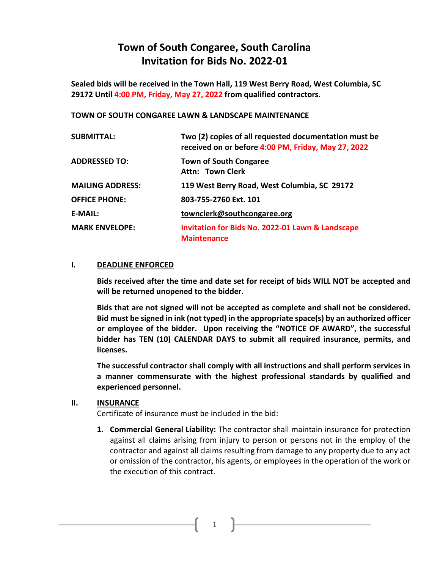## **Town of South Congaree, South Carolina Invitation for Bids No. 2022-01**

**Sealed bids will be received in the Town Hall, 119 West Berry Road, West Columbia, SC 29172 Until 4:00 PM, Friday, May 27, 2022 from qualified contractors.**

#### **TOWN OF SOUTH CONGAREE LAWN & LANDSCAPE MAINTENANCE**

| <b>SUBMITTAL:</b>       | Two (2) copies of all requested documentation must be<br>received on or before 4:00 PM, Friday, May 27, 2022 |  |
|-------------------------|--------------------------------------------------------------------------------------------------------------|--|
| <b>ADDRESSED TO:</b>    | <b>Town of South Congaree</b><br><b>Attn: Town Clerk</b>                                                     |  |
| <b>MAILING ADDRESS:</b> | 119 West Berry Road, West Columbia, SC 29172                                                                 |  |
| <b>OFFICE PHONE:</b>    | 803-755-2760 Ext. 101                                                                                        |  |
| <b>E-MAIL:</b>          | townclerk@southcongaree.org                                                                                  |  |
| <b>MARK ENVELOPE:</b>   | <b>Invitation for Bids No. 2022-01 Lawn &amp; Landscape</b><br><b>Maintenance</b>                            |  |

#### **I. DEADLINE ENFORCED**

**Bids received after the time and date set for receipt of bids WILL NOT be accepted and will be returned unopened to the bidder.** 

**Bids that are not signed will not be accepted as complete and shall not be considered. Bid must be signed in ink (not typed) in the appropriate space(s) by an authorized officer or employee of the bidder. Upon receiving the "NOTICE OF AWARD", the successful bidder has TEN (10) CALENDAR DAYS to submit all required insurance, permits, and licenses.**

**The successful contractor shall comply with all instructions and shall perform services in a manner commensurate with the highest professional standards by qualified and experienced personnel.**

#### **II. INSURANCE**

Certificate of insurance must be included in the bid:

**1. Commercial General Liability:** The contractor shall maintain insurance for protection against all claims arising from injury to person or persons not in the employ of the contractor and against all claims resulting from damage to any property due to any act or omission of the contractor, his agents, or employees in the operation of the work or the execution of this contract.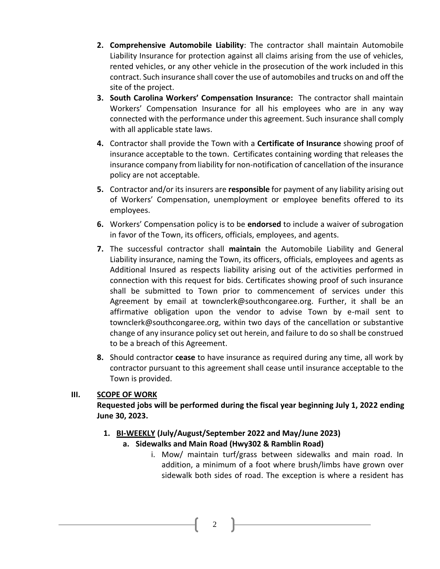- **2. Comprehensive Automobile Liability**: The contractor shall maintain Automobile Liability Insurance for protection against all claims arising from the use of vehicles, rented vehicles, or any other vehicle in the prosecution of the work included in this contract. Such insurance shall cover the use of automobiles and trucks on and off the site of the project.
- **3. South Carolina Workers' Compensation Insurance:** The contractor shall maintain Workers' Compensation Insurance for all his employees who are in any way connected with the performance under this agreement. Such insurance shall comply with all applicable state laws.
- **4.** Contractor shall provide the Town with a **Certificate of Insurance** showing proof of insurance acceptable to the town. Certificates containing wording that releases the insurance company from liability for non-notification of cancellation of the insurance policy are not acceptable.
- **5.** Contractor and/or its insurers are **responsible** for payment of any liability arising out of Workers' Compensation, unemployment or employee benefits offered to its employees.
- **6.** Workers' Compensation policy is to be **endorsed** to include a waiver of subrogation in favor of the Town, its officers, officials, employees, and agents.
- **7.** The successful contractor shall **maintain** the Automobile Liability and General Liability insurance, naming the Town, its officers, officials, employees and agents as Additional Insured as respects liability arising out of the activities performed in connection with this request for bids. Certificates showing proof of such insurance shall be submitted to Town prior to commencement of services under this Agreement by email at townclerk@southcongaree.org. Further, it shall be an affirmative obligation upon the vendor to advise Town by e-mail sent to townclerk@southcongaree.org, within two days of the cancellation or substantive change of any insurance policy set out herein, and failure to do so shall be construed to be a breach of this Agreement.
- **8.** Should contractor **cease** to have insurance as required during any time, all work by contractor pursuant to this agreement shall cease until insurance acceptable to the Town is provided.

#### **III. SCOPE OF WORK**

**Requested jobs will be performed during the fiscal year beginning July 1, 2022 ending June 30, 2023.**

**1. BI-WEEKLY (July/August/September 2022 and May/June 2023)** 

#### **a. Sidewalks and Main Road (Hwy302 & Ramblin Road)**

i. Mow/ maintain turf/grass between sidewalks and main road. In addition, a minimum of a foot where brush/limbs have grown over sidewalk both sides of road. The exception is where a resident has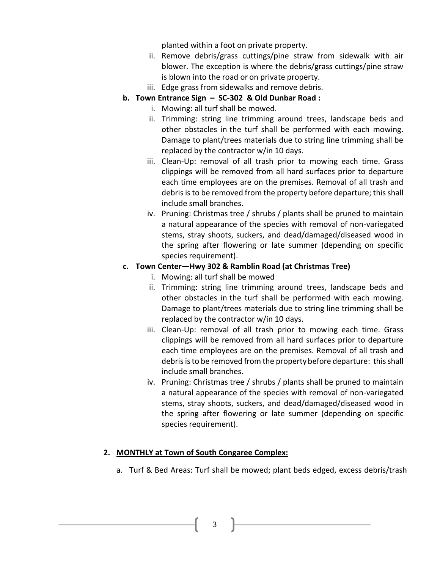planted within a foot on private property.

- ii. Remove debris/grass cuttings/pine straw from sidewalk with air blower. The exception is where the debris/grass cuttings/pine straw is blown into the road or on private property.
- iii. Edge grass from sidewalks and remove debris.
- **b. Town Entrance Sign – SC-302 & Old Dunbar Road :**
	- i. Mowing: all turf shall be mowed.
	- ii. Trimming: string line trimming around trees, landscape beds and other obstacles in the turf shall be performed with each mowing. Damage to plant/trees materials due to string line trimming shall be replaced by the contractor w/in 10 days.
	- iii. Clean-Up: removal of all trash prior to mowing each time. Grass clippings will be removed from all hard surfaces prior to departure each time employees are on the premises. Removal of all trash and debris is to be removed from the property before departure; this shall include small branches.
	- iv. Pruning: Christmas tree / shrubs / plants shall be pruned to maintain a natural appearance of the species with removal of non-variegated stems, stray shoots, suckers, and dead/damaged/diseased wood in the spring after flowering or late summer (depending on specific species requirement).

#### **c. Town Center—Hwy 302 & Ramblin Road (at Christmas Tree)**

- i. Mowing: all turf shall be mowed
- ii. Trimming: string line trimming around trees, landscape beds and other obstacles in the turf shall be performed with each mowing. Damage to plant/trees materials due to string line trimming shall be replaced by the contractor w/in 10 days.
- iii. Clean-Up: removal of all trash prior to mowing each time. Grass clippings will be removed from all hard surfaces prior to departure each time employees are on the premises. Removal of all trash and debris is to be removed from the property before departure: this shall include small branches.
- iv. Pruning: Christmas tree / shrubs / plants shall be pruned to maintain a natural appearance of the species with removal of non-variegated stems, stray shoots, suckers, and dead/damaged/diseased wood in the spring after flowering or late summer (depending on specific species requirement).

#### **2. MONTHLY at Town of South Congaree Complex:**

a. Turf & Bed Areas: Turf shall be mowed; plant beds edged, excess debris/trash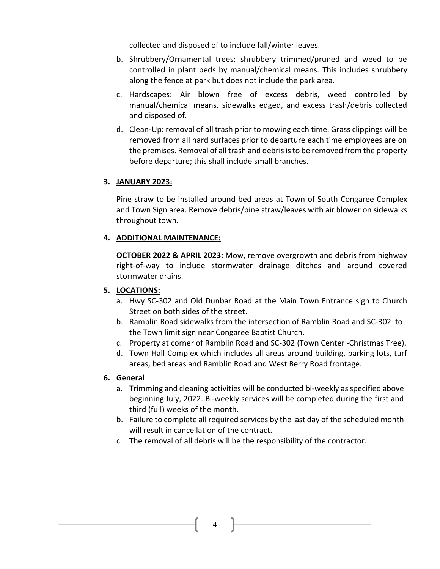collected and disposed of to include fall/winter leaves.

- b. Shrubbery/Ornamental trees: shrubbery trimmed/pruned and weed to be controlled in plant beds by manual/chemical means. This includes shrubbery along the fence at park but does not include the park area.
- c. Hardscapes: Air blown free of excess debris, weed controlled by manual/chemical means, sidewalks edged, and excess trash/debris collected and disposed of.
- d. Clean-Up: removal of all trash prior to mowing each time. Grass clippings will be removed from all hard surfaces prior to departure each time employees are on the premises. Removal of all trash and debris is to be removed from the property before departure; this shall include small branches.

#### **3. JANUARY 2023:**

Pine straw to be installed around bed areas at Town of South Congaree Complex and Town Sign area. Remove debris/pine straw/leaves with air blower on sidewalks throughout town.

#### **4. ADDITIONAL MAINTENANCE:**

**OCTOBER 2022 & APRIL 2023:** Mow, remove overgrowth and debris from highway right-of-way to include stormwater drainage ditches and around covered stormwater drains.

#### **5. LOCATIONS:**

- a. Hwy SC-302 and Old Dunbar Road at the Main Town Entrance sign to Church Street on both sides of the street.
- b. Ramblin Road sidewalks from the intersection of Ramblin Road and SC-302 to the Town limit sign near Congaree Baptist Church.
- c. Property at corner of Ramblin Road and SC-302 (Town Center -Christmas Tree).
- d. Town Hall Complex which includes all areas around building, parking lots, turf areas, bed areas and Ramblin Road and West Berry Road frontage.

#### **6. General**

- a. Trimming and cleaning activities will be conducted bi-weekly as specified above beginning July, 2022. Bi-weekly services will be completed during the first and third (full) weeks of the month.
- b. Failure to complete all required services by the last day of the scheduled month will result in cancellation of the contract.
- c. The removal of all debris will be the responsibility of the contractor.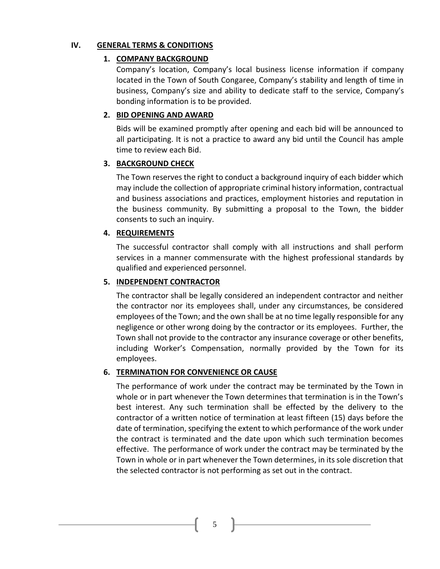#### **IV. GENERAL TERMS & CONDITIONS**

#### **1. COMPANY BACKGROUND**

Company's location, Company's local business license information if company located in the Town of South Congaree, Company's stability and length of time in business, Company's size and ability to dedicate staff to the service, Company's bonding information is to be provided.

## **2. BID OPENING AND AWARD**

Bids will be examined promptly after opening and each bid will be announced to all participating. It is not a practice to award any bid until the Council has ample time to review each Bid.

## **3. BACKGROUND CHECK**

The Town reserves the right to conduct a background inquiry of each bidder which may include the collection of appropriate criminal history information, contractual and business associations and practices, employment histories and reputation in the business community. By submitting a proposal to the Town, the bidder consents to such an inquiry.

## **4. REQUIREMENTS**

The successful contractor shall comply with all instructions and shall perform services in a manner commensurate with the highest professional standards by qualified and experienced personnel.

## **5. INDEPENDENT CONTRACTOR**

The contractor shall be legally considered an independent contractor and neither the contractor nor its employees shall, under any circumstances, be considered employees of the Town; and the own shall be at no time legally responsible for any negligence or other wrong doing by the contractor or its employees. Further, the Town shall not provide to the contractor any insurance coverage or other benefits, including Worker's Compensation, normally provided by the Town for its employees.

#### **6. TERMINATION FOR CONVENIENCE OR CAUSE**

The performance of work under the contract may be terminated by the Town in whole or in part whenever the Town determines that termination is in the Town's best interest. Any such termination shall be effected by the delivery to the contractor of a written notice of termination at least fifteen (15) days before the date of termination, specifying the extent to which performance of the work under the contract is terminated and the date upon which such termination becomes effective. The performance of work under the contract may be terminated by the Town in whole or in part whenever the Town determines, in its sole discretion that the selected contractor is not performing as set out in the contract.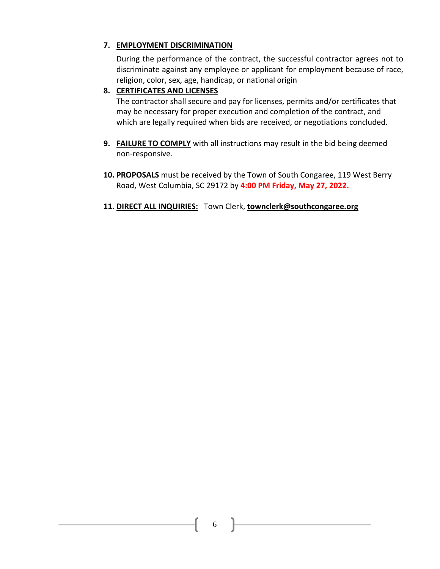## **7. EMPLOYMENT DISCRIMINATION**

During the performance of the contract, the successful contractor agrees not to discriminate against any employee or applicant for employment because of race, religion, color, sex, age, handicap, or national origin

## **8. CERTIFICATES AND LICENSES**

The contractor shall secure and pay for licenses, permits and/or certificates that may be necessary for proper execution and completion of the contract, and which are legally required when bids are received, or negotiations concluded.

- **9. FAILURE TO COMPLY** with all instructions may result in the bid being deemed non-responsive.
- **10. PROPOSALS** must be received by the Town of South Congaree, 119 West Berry Road, West Columbia, SC 29172 by **4:00 PM Friday, May 27, 2022.**
- **11. DIRECT ALL INQUIRIES:** Town Clerk, **[townclerk@southcongaree.org](mailto:townclerk@southcongaree.org)**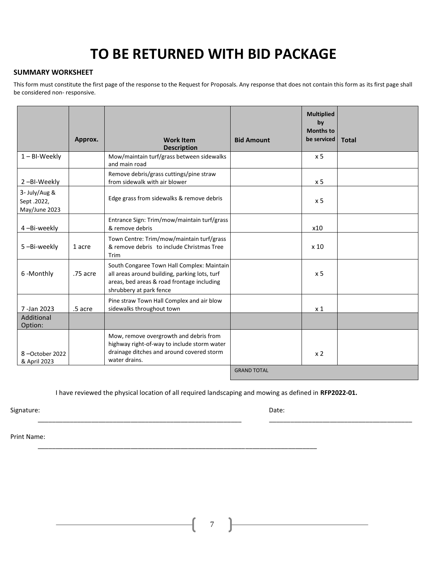# **TO BE RETURNED WITH BID PACKAGE**

#### **SUMMARY WORKSHEET**

This form must constitute the first page of the response to the Request for Proposals. Any response that does not contain this form as its first page shall be considered non- responsive.

|                                              | Approx.  | <b>Work Item</b><br><b>Description</b>                                                                                                                               | <b>Bid Amount</b>  | <b>Multiplied</b><br>by<br><b>Months to</b><br>be serviced | <b>Total</b> |
|----------------------------------------------|----------|----------------------------------------------------------------------------------------------------------------------------------------------------------------------|--------------------|------------------------------------------------------------|--------------|
| $1 - B$ I-Weekly                             |          | Mow/maintain turf/grass between sidewalks<br>and main road                                                                                                           |                    | x <sub>5</sub>                                             |              |
| 2-BI-Weekly                                  |          | Remove debris/grass cuttings/pine straw<br>from sidewalk with air blower                                                                                             |                    | x 5                                                        |              |
| 3- July/Aug &<br>Sept.2022,<br>May/June 2023 |          | Edge grass from sidewalks & remove debris                                                                                                                            |                    | x 5                                                        |              |
| 4-Bi-weekly                                  |          | Entrance Sign: Trim/mow/maintain turf/grass<br>& remove debris                                                                                                       |                    | x10                                                        |              |
| 5-Bi-weekly                                  | 1 acre   | Town Centre: Trim/mow/maintain turf/grass<br>& remove debris to include Christmas Tree<br>Trim                                                                       |                    | x <sub>10</sub>                                            |              |
| 6-Monthly                                    | .75 acre | South Congaree Town Hall Complex: Maintain<br>all areas around building, parking lots, turf<br>areas, bed areas & road frontage including<br>shrubbery at park fence |                    | x <sub>5</sub>                                             |              |
| 7-Jan 2023                                   | .5 acre  | Pine straw Town Hall Complex and air blow<br>sidewalks throughout town                                                                                               |                    | x <sub>1</sub>                                             |              |
| Additional<br>Option:                        |          |                                                                                                                                                                      |                    |                                                            |              |
| 8-October 2022<br>& April 2023               |          | Mow, remove overgrowth and debris from<br>highway right-of-way to include storm water<br>drainage ditches and around covered storm<br>water drains.                  |                    | x <sub>2</sub>                                             |              |
|                                              |          |                                                                                                                                                                      | <b>GRAND TOTAL</b> |                                                            |              |

I have reviewed the physical location of all required landscaping and mowing as defined in **RFP2022-01.**

\_\_\_\_\_\_\_\_\_\_\_\_\_\_\_\_\_\_\_\_\_\_\_\_\_\_\_\_\_\_\_\_\_\_\_\_\_\_\_\_\_\_\_\_\_\_\_\_\_\_\_\_\_\_\_\_\_\_\_\_\_\_\_\_\_\_\_\_\_\_\_\_\_\_\_\_\_\_

 $\overline{\phantom{a}}$  , and the contribution of the contribution of the contribution of the contribution of the contribution of the contribution of the contribution of the contribution of the contribution of the contribution of the

Signature: Date: Date: Date: Date: Date: Date: Date: Date: Date: Date: Date: Date: Date: Date: Date: Date: Date: Date: Date: Date: Date: Date: Date: Date: Date: Date: Date: Date: Date: Date: Date: Date: Date: Date: Date: D

Print Name: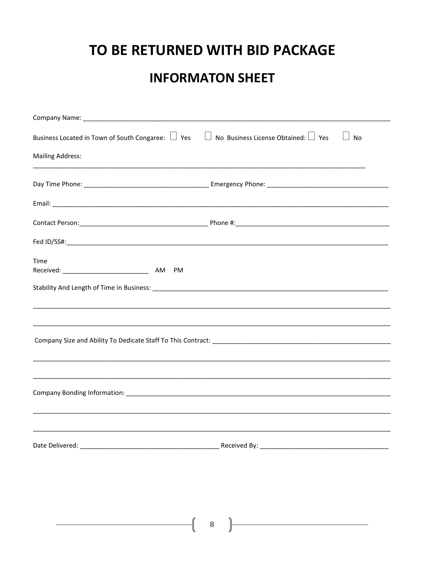# TO BE RETURNED WITH BID PACKAGE

# **INFORMATON SHEET**

| Business Located in Town of South Congaree: $\Box$ Yes $\Box$ No Business License Obtained: $\Box$ Yes | No           |
|--------------------------------------------------------------------------------------------------------|--------------|
| <b>Mailing Address:</b>                                                                                |              |
|                                                                                                        |              |
|                                                                                                        |              |
|                                                                                                        |              |
|                                                                                                        |              |
| Time                                                                                                   |              |
|                                                                                                        |              |
|                                                                                                        |              |
|                                                                                                        |              |
|                                                                                                        |              |
|                                                                                                        |              |
|                                                                                                        |              |
|                                                                                                        |              |
| Date Delivered:                                                                                        | Received By: |